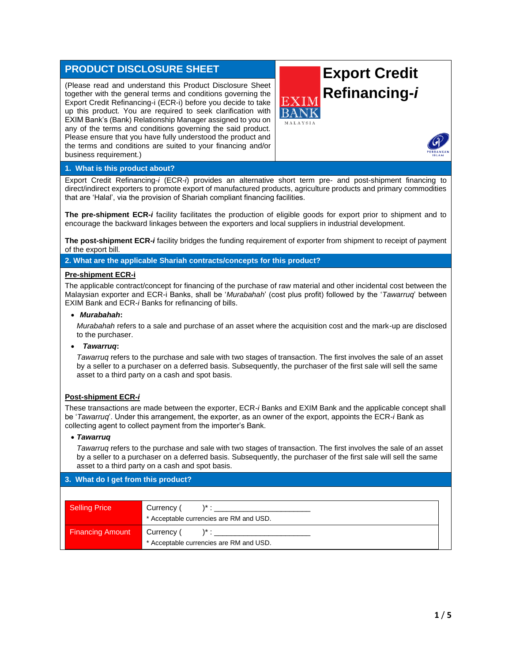# **PRODUCT DISCLOSURE SHEET**

(Please read and understand this Product Disclosure Sheet together with the general terms and conditions governing the Export Credit Refinancing-i (ECR-i) before you decide to take up this product. You are required to seek clarification with EXIM Bank's (Bank) Relationship Manager assigned to you on any of the terms and conditions governing the said product. Please ensure that you have fully understood the product and the terms and conditions are suited to your financing and/or business requirement.)

# **Export Credit Refinancing-***i*



# **1. What is this product about?**

Export Credit Refinancing-*i* (ECR-*i*) provides an alternative short term pre- and post-shipment financing to direct/indirect exporters to promote export of manufactured products, agriculture products and primary commodities that are 'Halal', via the provision of Shariah compliant financing facilities.

**The pre-shipment ECR-***i* facility facilitates the production of eligible goods for export prior to shipment and to encourage the backward linkages between the exporters and local suppliers in industrial development.

**The post-shipment ECR-***i* facility bridges the funding requirement of exporter from shipment to receipt of payment of the export bill.

**2. What are the applicable Shariah contracts/concepts for this product?**

#### **Pre-shipment ECR-i**

The applicable contract/concept for financing of the purchase of raw material and other incidental cost between the Malaysian exporter and ECR-i Banks, shall be '*Murabahah*' (cost plus profit) followed by the '*Tawarruq*' between EXIM Bank and ECR-*i* Banks for refinancing of bills.

#### • *Murabahah***:**

*Murabahah* refers to a sale and purchase of an asset where the acquisition cost and the mark-up are disclosed to the purchaser.

# • *Tawarruq***:**

*Tawarruq* refers to the purchase and sale with two stages of transaction. The first involves the sale of an asset by a seller to a purchaser on a deferred basis. Subsequently, the purchaser of the first sale will sell the same asset to a third party on a cash and spot basis.

# **Post-shipment ECR-***i*

These transactions are made between the exporter, ECR-*i* Banks and EXIM Bank and the applicable concept shall be '*Tawarruq*'. Under this arrangement, the exporter, as an owner of the export, appoints the ECR-*i* Bank as collecting agent to collect payment from the importer's Bank.

#### • *Tawarruq*

*Tawarruq* refers to the purchase and sale with two stages of transaction. The first involves the sale of an asset by a seller to a purchaser on a deferred basis. Subsequently, the purchaser of the first sale will sell the same asset to a third party on a cash and spot basis.

# **3. What do I get from this product?**

| Selling Price           | Currency (<br>* Acceptable currencies are RM and USD. |
|-------------------------|-------------------------------------------------------|
| <b>Financing Amount</b> | Currency (<br>* Acceptable currencies are RM and USD. |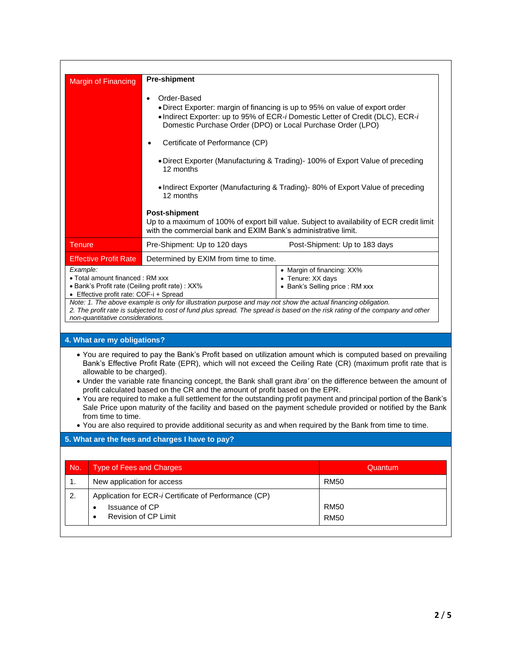| <b>Margin of Financing</b>                                                                                                                                                                                                                                                                                                                                                                                                                                                                                                                                                                                                                                                                                                                                                                                                              | <b>Pre-shipment</b>                                                                                                                                                                                                                                                                                       |                               |  |  |
|-----------------------------------------------------------------------------------------------------------------------------------------------------------------------------------------------------------------------------------------------------------------------------------------------------------------------------------------------------------------------------------------------------------------------------------------------------------------------------------------------------------------------------------------------------------------------------------------------------------------------------------------------------------------------------------------------------------------------------------------------------------------------------------------------------------------------------------------|-----------------------------------------------------------------------------------------------------------------------------------------------------------------------------------------------------------------------------------------------------------------------------------------------------------|-------------------------------|--|--|
|                                                                                                                                                                                                                                                                                                                                                                                                                                                                                                                                                                                                                                                                                                                                                                                                                                         | Order-Based<br>$\bullet$<br>• Direct Exporter: margin of financing is up to 95% on value of export order<br>• Indirect Exporter: up to 95% of ECR-i Domestic Letter of Credit (DLC), ECR-i<br>Domestic Purchase Order (DPO) or Local Purchase Order (LPO)<br>Certificate of Performance (CP)<br>$\bullet$ |                               |  |  |
|                                                                                                                                                                                                                                                                                                                                                                                                                                                                                                                                                                                                                                                                                                                                                                                                                                         | • Direct Exporter (Manufacturing & Trading) - 100% of Export Value of preceding<br>12 months                                                                                                                                                                                                              |                               |  |  |
|                                                                                                                                                                                                                                                                                                                                                                                                                                                                                                                                                                                                                                                                                                                                                                                                                                         | • Indirect Exporter (Manufacturing & Trading) - 80% of Export Value of preceding<br>12 months                                                                                                                                                                                                             |                               |  |  |
|                                                                                                                                                                                                                                                                                                                                                                                                                                                                                                                                                                                                                                                                                                                                                                                                                                         | <b>Post-shipment</b><br>Up to a maximum of 100% of export bill value. Subject to availability of ECR credit limit<br>with the commercial bank and EXIM Bank's administrative limit.                                                                                                                       |                               |  |  |
| <b>Tenure</b>                                                                                                                                                                                                                                                                                                                                                                                                                                                                                                                                                                                                                                                                                                                                                                                                                           | Pre-Shipment: Up to 120 days                                                                                                                                                                                                                                                                              | Post-Shipment: Up to 183 days |  |  |
| <b>Effective Profit Rate</b>                                                                                                                                                                                                                                                                                                                                                                                                                                                                                                                                                                                                                                                                                                                                                                                                            | Determined by EXIM from time to time.                                                                                                                                                                                                                                                                     |                               |  |  |
| • Margin of financing: XX%<br>• Total amount financed: RM xxx<br>• Tenure: XX days<br>· Bank's Profit rate (Ceiling profit rate) : XX%<br>• Bank's Selling price : RM xxx<br>• Effective profit rate: COF-i + Spread<br>Note: 1. The above example is only for illustration purpose and may not show the actual financing obligation.<br>2. The profit rate is subjected to cost of fund plus spread. The spread is based on the risk rating of the company and other<br>non-quantitative considerations.                                                                                                                                                                                                                                                                                                                               |                                                                                                                                                                                                                                                                                                           |                               |  |  |
| 4. What are my obligations?                                                                                                                                                                                                                                                                                                                                                                                                                                                                                                                                                                                                                                                                                                                                                                                                             |                                                                                                                                                                                                                                                                                                           |                               |  |  |
| • You are required to pay the Bank's Profit based on utilization amount which is computed based on prevailing<br>Bank's Effective Profit Rate (EPR), which will not exceed the Ceiling Rate (CR) (maximum profit rate that is<br>allowable to be charged).<br>. Under the variable rate financing concept, the Bank shall grant ibra' on the difference between the amount of<br>profit calculated based on the CR and the amount of profit based on the EPR.<br>• You are required to make a full settlement for the outstanding profit payment and principal portion of the Bank's<br>Sale Price upon maturity of the facility and based on the payment schedule provided or notified by the Bank<br>from time to time.<br>. You are also required to provide additional security as and when required by the Bank from time to time. |                                                                                                                                                                                                                                                                                                           |                               |  |  |
| 5. What are the fees and charges I have to pay?                                                                                                                                                                                                                                                                                                                                                                                                                                                                                                                                                                                                                                                                                                                                                                                         |                                                                                                                                                                                                                                                                                                           |                               |  |  |
|                                                                                                                                                                                                                                                                                                                                                                                                                                                                                                                                                                                                                                                                                                                                                                                                                                         |                                                                                                                                                                                                                                                                                                           |                               |  |  |
| No.<br><b>Type of Fees and Charges</b>                                                                                                                                                                                                                                                                                                                                                                                                                                                                                                                                                                                                                                                                                                                                                                                                  |                                                                                                                                                                                                                                                                                                           | Quantum                       |  |  |
| New application for access<br>1.                                                                                                                                                                                                                                                                                                                                                                                                                                                                                                                                                                                                                                                                                                                                                                                                        |                                                                                                                                                                                                                                                                                                           | <b>RM50</b>                   |  |  |
| 2.                                                                                                                                                                                                                                                                                                                                                                                                                                                                                                                                                                                                                                                                                                                                                                                                                                      | Application for ECR-i Certificate of Performance (CP)                                                                                                                                                                                                                                                     |                               |  |  |

RM50 RM50

• Issuance of CP • Revision of CP Limit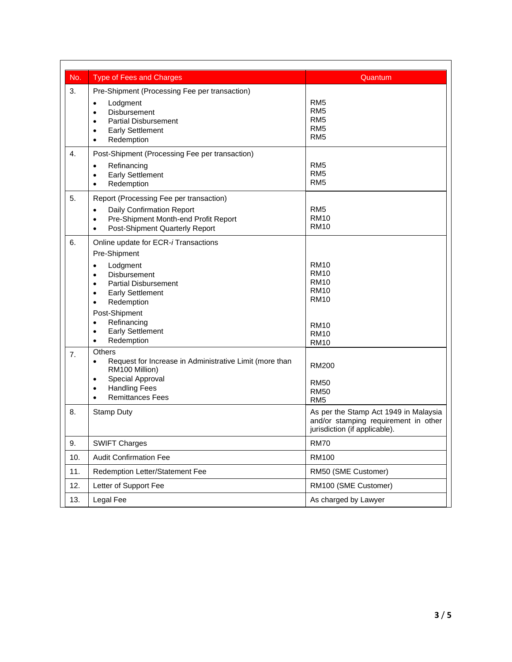| No.              | <b>Type of Fees and Charges</b>                                                                                                                                                                                                                       | Quantum                                                                                                        |
|------------------|-------------------------------------------------------------------------------------------------------------------------------------------------------------------------------------------------------------------------------------------------------|----------------------------------------------------------------------------------------------------------------|
| 3.               | Pre-Shipment (Processing Fee per transaction)<br>Lodgment<br>٠<br><b>Disbursement</b><br>$\bullet$<br><b>Partial Disbursement</b><br>٠<br><b>Early Settlement</b><br>٠<br>Redemption<br>$\bullet$                                                     | RM <sub>5</sub><br>RM <sub>5</sub><br>RM <sub>5</sub><br>RM <sub>5</sub><br>RM <sub>5</sub>                    |
| $\overline{4}$ . | Post-Shipment (Processing Fee per transaction)<br>Refinancing<br>$\bullet$<br><b>Early Settlement</b><br>$\bullet$<br>Redemption<br>$\bullet$                                                                                                         | RM <sub>5</sub><br>RM <sub>5</sub><br>RM <sub>5</sub>                                                          |
| 5.               | Report (Processing Fee per transaction)<br>Daily Confirmation Report<br>$\bullet$<br>Pre-Shipment Month-end Profit Report<br>$\bullet$<br>Post-Shipment Quarterly Report<br>٠                                                                         | RM <sub>5</sub><br><b>RM10</b><br><b>RM10</b>                                                                  |
| 6.               | Online update for ECR-i Transactions<br>Pre-Shipment<br>Lodgment<br>$\bullet$<br><b>Disbursement</b><br>$\bullet$<br><b>Partial Disbursement</b><br>٠<br><b>Early Settlement</b><br>٠<br>Redemption<br>٠<br>Post-Shipment<br>Refinancing<br>$\bullet$ | <b>RM10</b><br><b>RM10</b><br><b>RM10</b><br><b>RM10</b><br><b>RM10</b><br><b>RM10</b>                         |
| 7.               | <b>Early Settlement</b><br>$\bullet$<br>Redemption<br>$\bullet$<br><b>Others</b>                                                                                                                                                                      | <b>RM10</b><br><b>RM10</b>                                                                                     |
|                  | Request for Increase in Administrative Limit (more than<br>$\bullet$<br>RM100 Million)<br>Special Approval<br>$\bullet$<br><b>Handling Fees</b><br>٠<br><b>Remittances Fees</b><br>$\bullet$                                                          | <b>RM200</b><br><b>RM50</b><br><b>RM50</b><br>RM <sub>5</sub>                                                  |
| 8.               | <b>Stamp Duty</b>                                                                                                                                                                                                                                     | As per the Stamp Act 1949 in Malaysia<br>and/or stamping requirement in other<br>jurisdiction (if applicable). |
| 9.               | <b>SWIFT Charges</b>                                                                                                                                                                                                                                  | <b>RM70</b>                                                                                                    |
| 10.              | <b>Audit Confirmation Fee</b>                                                                                                                                                                                                                         | <b>RM100</b>                                                                                                   |
| 11.              | Redemption Letter/Statement Fee                                                                                                                                                                                                                       | RM50 (SME Customer)                                                                                            |
| 12.              | Letter of Support Fee                                                                                                                                                                                                                                 | RM100 (SME Customer)                                                                                           |
| 13.              | Legal Fee                                                                                                                                                                                                                                             | As charged by Lawyer                                                                                           |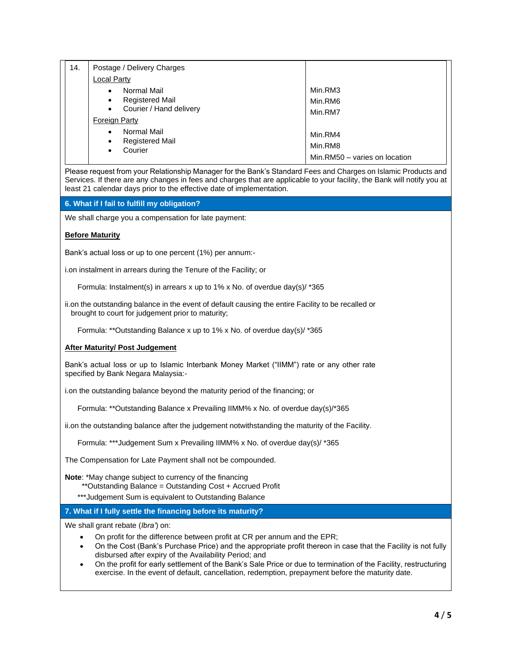|  | 14. | Postage / Delivery Charges           |                               |
|--|-----|--------------------------------------|-------------------------------|
|  |     | <b>Local Party</b>                   |                               |
|  |     | Normal Mail<br>$\bullet$             | Min.RM3                       |
|  |     | <b>Registered Mail</b><br>$\bullet$  | Min.RM6                       |
|  |     | Courier / Hand delivery<br>$\bullet$ | Min.RM7                       |
|  |     | <b>Foreign Party</b>                 |                               |
|  |     | Normal Mail<br>$\bullet$             | Min.RM4                       |
|  |     | <b>Registered Mail</b><br>$\bullet$  | Min.RM8                       |
|  |     | Courier<br>$\bullet$                 | Min.RM50 - varies on location |

Please request from your Relationship Manager for the Bank's Standard Fees and Charges on Islamic Products and Services. If there are any changes in fees and charges that are applicable to your facility, the Bank will notify you at least 21 calendar days prior to the effective date of implementation.

# **6. What if I fail to fulfill my obligation?**

We shall charge you a compensation for late payment:

#### **Before Maturity**

Bank's actual loss or up to one percent (1%) per annum:-

i.on instalment in arrears during the Tenure of the Facility; or

Formula: Instalment(s) in arrears x up to 1% x No. of overdue day(s)/ \*365

ii.on the outstanding balance in the event of default causing the entire Facility to be recalled or brought to court for judgement prior to maturity;

Formula: \*\*Outstanding Balance x up to 1% x No. of overdue day(s)/ \*365

#### **After Maturity/ Post Judgement**

Bank's actual loss or up to Islamic Interbank Money Market ("IIMM") rate or any other rate specified by Bank Negara Malaysia:-

i.on the outstanding balance beyond the maturity period of the financing; or

Formula: \*\*Outstanding Balance x Prevailing IIMM% x No. of overdue day(s)/\*365

ii.on the outstanding balance after the judgement notwithstanding the maturity of the Facility.

Formula: \*\*\*Judgement Sum x Prevailing IIMM% x No. of overdue day(s)/ \*365

The Compensation for Late Payment shall not be compounded.

**Note**: \*May change subject to currency of the financing

- \*\*Outstanding Balance = Outstanding Cost + Accrued Profit
- \*\*\*Judgement Sum is equivalent to Outstanding Balance

#### **7. What if I fully settle the financing before its maturity?**

We shall grant rebate (*Ibra'*) on:

- On profit for the difference between profit at CR per annum and the EPR;
- On the Cost (Bank's Purchase Price) and the appropriate profit thereon in case that the Facility is not fully disbursed after expiry of the Availability Period; and
- On the profit for early settlement of the Bank's Sale Price or due to termination of the Facility, restructuring exercise. In the event of default, cancellation, redemption, prepayment before the maturity date.